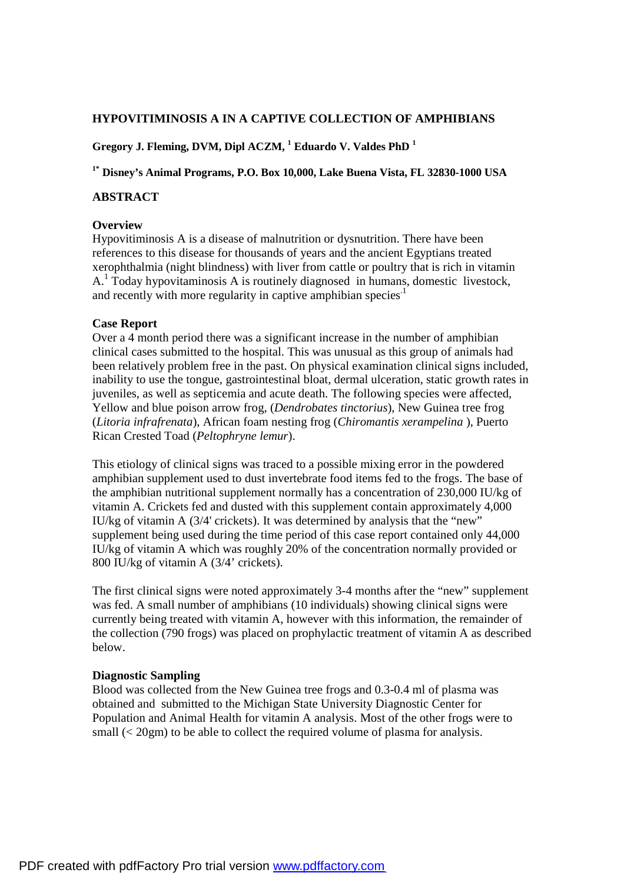# **HYPOVITIMINOSIS A IN A CAPTIVE COLLECTION OF AMPHIBIANS**

# **Gregory J. Fleming, DVM, Dipl ACZM, <sup>1</sup> Eduardo V. Valdes PhD <sup>1</sup>**

**1\* Disney's Animal Programs, P.O. Box 10,000, Lake Buena Vista, FL 32830-1000 USA** 

### **ABSTRACT**

#### **Overview**

Hypovitiminosis A is a disease of malnutrition or dysnutrition. There have been references to this disease for thousands of years and the ancient Egyptians treated xerophthalmia (night blindness) with liver from cattle or poultry that is rich in vitamin A.<sup>1</sup> Today hypovitaminosis A is routinely diagnosed in humans, domestic livestock, and recently with more regularity in captive amphibian species.<sup>1</sup>

#### **Case Report**

Over a 4 month period there was a significant increase in the number of amphibian clinical cases submitted to the hospital. This was unusual as this group of animals had been relatively problem free in the past. On physical examination clinical signs included, inability to use the tongue, gastrointestinal bloat, dermal ulceration, static growth rates in juveniles, as well as septicemia and acute death. The following species were affected, Yellow and blue poison arrow frog, (*Dendrobates tinctorius*), New Guinea tree frog (*Litoria infrafrenata*), African foam nesting frog (*Chiromantis xerampelina* ), Puerto Rican Crested Toad (*Peltophryne lemur*).

This etiology of clinical signs was traced to a possible mixing error in the powdered amphibian supplement used to dust invertebrate food items fed to the frogs. The base of the amphibian nutritional supplement normally has a concentration of 230,000 IU/kg of vitamin A. Crickets fed and dusted with this supplement contain approximately 4,000 IU/kg of vitamin A (3/4' crickets). It was determined by analysis that the "new" supplement being used during the time period of this case report contained only 44,000 IU/kg of vitamin A which was roughly 20% of the concentration normally provided or 800 IU/kg of vitamin A (3/4' crickets).

The first clinical signs were noted approximately 3-4 months after the "new" supplement was fed. A small number of amphibians (10 individuals) showing clinical signs were currently being treated with vitamin A, however with this information, the remainder of the collection (790 frogs) was placed on prophylactic treatment of vitamin A as described below.

## **Diagnostic Sampling**

Blood was collected from the New Guinea tree frogs and 0.3-0.4 ml of plasma was obtained and submitted to the Michigan State University Diagnostic Center for Population and Animal Health for vitamin A analysis. Most of the other frogs were to small (< 20gm) to be able to collect the required volume of plasma for analysis.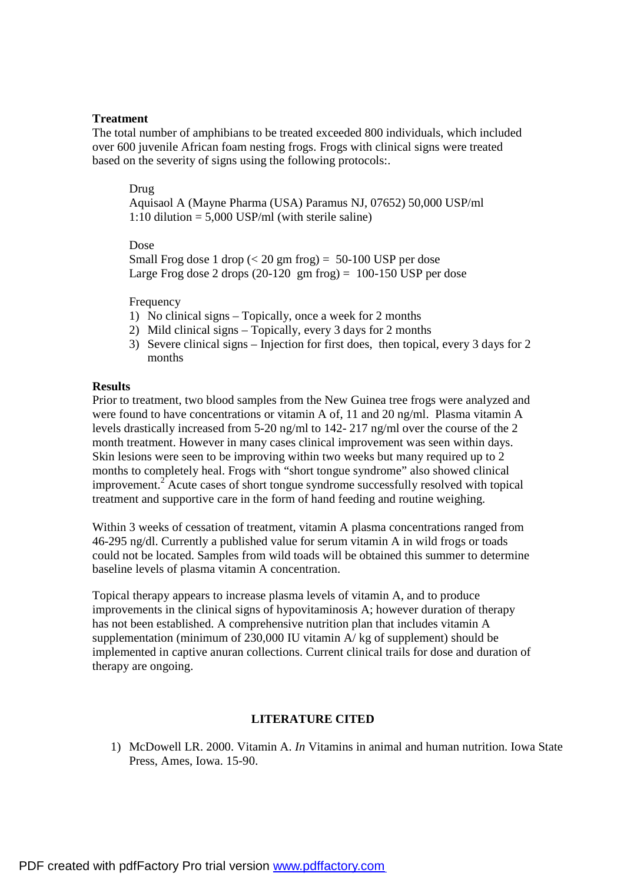## **Treatment**

The total number of amphibians to be treated exceeded 800 individuals, which included over 600 juvenile African foam nesting frogs. Frogs with clinical signs were treated based on the severity of signs using the following protocols:.

### Drug

Aquisaol A (Mayne Pharma (USA) Paramus NJ, 07652) 50,000 USP/ml 1:10 dilution  $= 5,000$  USP/ml (with sterile saline)

Dose

Small Frog dose 1 drop  $( $20 \text{ gm}$  frog) = 50-100 USP per dose$ Large Frog dose 2 drops  $(20-120 \text{ gm} \text{ frog}) = 100-150 \text{ USP} \text{ per dose}$ 

Frequency

- 1) No clinical signs Topically, once a week for 2 months
- 2) Mild clinical signs Topically, every 3 days for 2 months
- 3) Severe clinical signs Injection for first does, then topical, every 3 days for 2 months

# **Results**

Prior to treatment, two blood samples from the New Guinea tree frogs were analyzed and were found to have concentrations or vitamin A of, 11 and 20 ng/ml. Plasma vitamin A levels drastically increased from 5-20 ng/ml to 142- 217 ng/ml over the course of the 2 month treatment. However in many cases clinical improvement was seen within days. Skin lesions were seen to be improving within two weeks but many required up to 2 months to completely heal. Frogs with "short tongue syndrome" also showed clinical improvement.<sup>2</sup> Acute cases of short tongue syndrome successfully resolved with topical treatment and supportive care in the form of hand feeding and routine weighing.

Within 3 weeks of cessation of treatment, vitamin A plasma concentrations ranged from 46-295 ng/dl. Currently a published value for serum vitamin A in wild frogs or toads could not be located. Samples from wild toads will be obtained this summer to determine baseline levels of plasma vitamin A concentration.

Topical therapy appears to increase plasma levels of vitamin A, and to produce improvements in the clinical signs of hypovitaminosis A; however duration of therapy has not been established. A comprehensive nutrition plan that includes vitamin A supplementation (minimum of 230,000 IU vitamin A/ kg of supplement) should be implemented in captive anuran collections. Current clinical trails for dose and duration of therapy are ongoing.

### **LITERATURE CITED**

1) McDowell LR. 2000. Vitamin A. *In* Vitamins in animal and human nutrition. Iowa State Press, Ames, Iowa. 15-90.